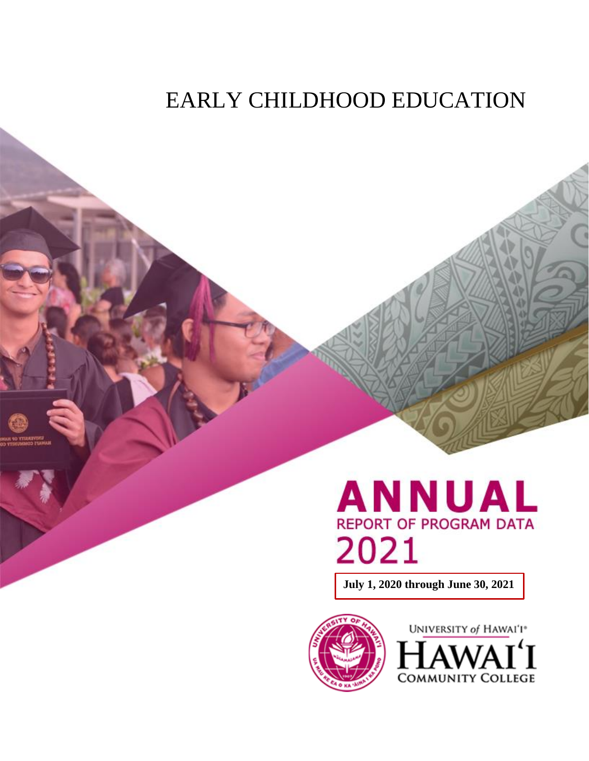## EARLY CHILDHOOD EDUCATION

# **ANNUAL REPORT OF PROGRAM DATA** 2021

**July 1, 2020 through June 30, 2021**



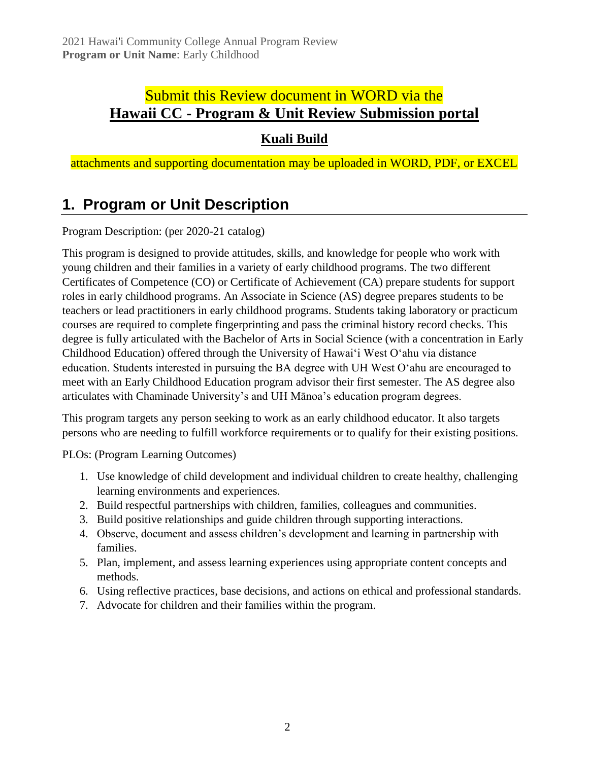### Submit this Review document in WORD via the **Hawaii CC - [Program & Unit Review Submission portal](https://hawaii.kualibuild.com/app/builder/#/app/60ef56c477b0f470999bb6e5/run)**

### **[Kuali Build](https://hawaii.kualibuild.com/app/builder/#/app/60ef56c477b0f470999bb6e5/run)**

attachments and supporting documentation may be uploaded in WORD, PDF, or EXCEL

### **1. Program or Unit Description**

Program Description: (per 2020-21 catalog)

This program is designed to provide attitudes, skills, and knowledge for people who work with young children and their families in a variety of early childhood programs. The two different Certificates of Competence (CO) or Certificate of Achievement (CA) prepare students for support roles in early childhood programs. An Associate in Science (AS) degree prepares students to be teachers or lead practitioners in early childhood programs. Students taking laboratory or practicum courses are required to complete fingerprinting and pass the criminal history record checks. This degree is fully articulated with the Bachelor of Arts in Social Science (with a concentration in Early Childhood Education) offered through the University of Hawaiʻi West O'ahu via distance education. Students interested in pursuing the BA degree with UH West O'ahu are encouraged to meet with an Early Childhood Education program advisor their first semester. The AS degree also articulates with Chaminade University's and UH Mānoa's education program degrees.

This program targets any person seeking to work as an early childhood educator. It also targets persons who are needing to fulfill workforce requirements or to qualify for their existing positions.

PLOs: (Program Learning Outcomes)

- 1. Use knowledge of child development and individual children to create healthy, challenging learning environments and experiences.
- 2. Build respectful partnerships with children, families, colleagues and communities.
- 3. Build positive relationships and guide children through supporting interactions.
- 4. Observe, document and assess children's development and learning in partnership with families.
- 5. Plan, implement, and assess learning experiences using appropriate content concepts and methods.
- 6. Using reflective practices, base decisions, and actions on ethical and professional standards.
- 7. Advocate for children and their families within the program.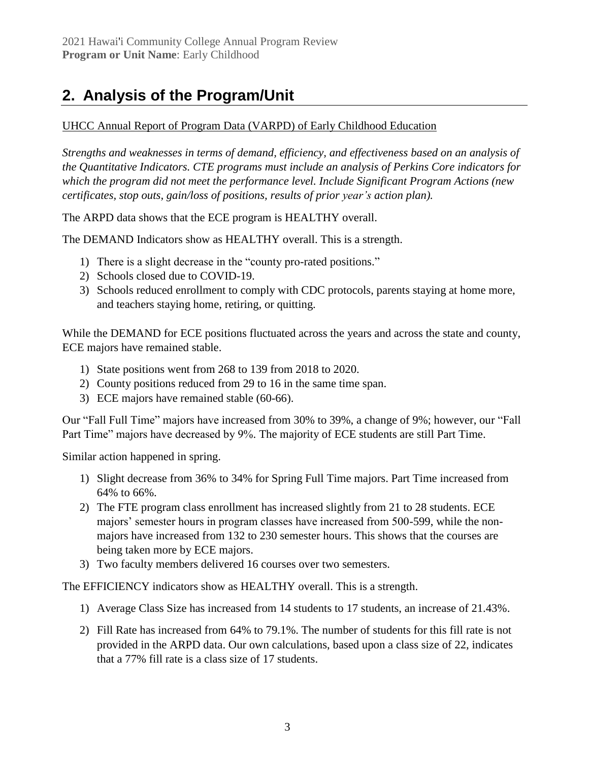### **2. Analysis of the Program/Unit**

#### [UHCC Annual Report of Program Data \(VARPD\) of Early Childhood Education](https://uhcc.hawaii.edu/varpd/index.php?y=2021&c=HAW&t=CTE&p=2319)

*Strengths and weaknesses in terms of demand, efficiency, and effectiveness based on an analysis of the Quantitative Indicators. CTE programs must include an analysis of Perkins Core indicators for which the program did not meet the performance level. Include Significant Program Actions (new certificates, stop outs, gain/loss of positions, results of prior year's action plan).*

The ARPD data shows that the ECE program is HEALTHY overall.

The DEMAND Indicators show as HEALTHY overall. This is a strength.

- 1) There is a slight decrease in the "county pro-rated positions."
- 2) Schools closed due to COVID-19.
- 3) Schools reduced enrollment to comply with CDC protocols, parents staying at home more, and teachers staying home, retiring, or quitting.

While the DEMAND for ECE positions fluctuated across the years and across the state and county, ECE majors have remained stable.

- 1) State positions went from 268 to 139 from 2018 to 2020.
- 2) County positions reduced from 29 to 16 in the same time span.
- 3) ECE majors have remained stable (60-66).

Our "Fall Full Time" majors have increased from 30% to 39%, a change of 9%; however, our "Fall Part Time" majors have decreased by 9%. The majority of ECE students are still Part Time.

Similar action happened in spring.

- 1) Slight decrease from 36% to 34% for Spring Full Time majors. Part Time increased from 64% to 66%.
- 2) The FTE program class enrollment has increased slightly from 21 to 28 students. ECE majors' semester hours in program classes have increased from 500-599, while the nonmajors have increased from 132 to 230 semester hours. This shows that the courses are being taken more by ECE majors.
- 3) Two faculty members delivered 16 courses over two semesters.

The EFFICIENCY indicators show as HEALTHY overall. This is a strength.

- 1) Average Class Size has increased from 14 students to 17 students, an increase of 21.43%.
- 2) Fill Rate has increased from 64% to 79.1%. The number of students for this fill rate is not provided in the ARPD data. Our own calculations, based upon a class size of 22, indicates that a 77% fill rate is a class size of 17 students.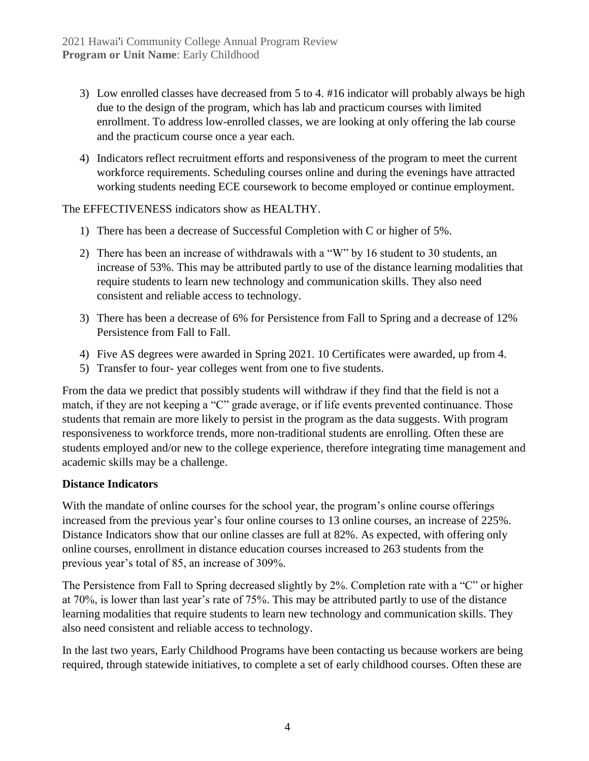- 3) Low enrolled classes have decreased from 5 to 4. #16 indicator will probably always be high due to the design of the program, which has lab and practicum courses with limited enrollment. To address low-enrolled classes, we are looking at only offering the lab course and the practicum course once a year each.
- 4) Indicators reflect recruitment efforts and responsiveness of the program to meet the current workforce requirements. Scheduling courses online and during the evenings have attracted working students needing ECE coursework to become employed or continue employment.

The EFFECTIVENESS indicators show as HEALTHY.

- 1) There has been a decrease of Successful Completion with C or higher of 5%.
- 2) There has been an increase of withdrawals with a "W" by 16 student to 30 students, an increase of 53%. This may be attributed partly to use of the distance learning modalities that require students to learn new technology and communication skills. They also need consistent and reliable access to technology.
- 3) There has been a decrease of 6% for Persistence from Fall to Spring and a decrease of 12% Persistence from Fall to Fall.
- 4) Five AS degrees were awarded in Spring 2021. 10 Certificates were awarded, up from 4.
- 5) Transfer to four- year colleges went from one to five students.

From the data we predict that possibly students will withdraw if they find that the field is not a match, if they are not keeping a "C" grade average, or if life events prevented continuance. Those students that remain are more likely to persist in the program as the data suggests. With program responsiveness to workforce trends, more non-traditional students are enrolling. Often these are students employed and/or new to the college experience, therefore integrating time management and academic skills may be a challenge.

#### **Distance Indicators**

With the mandate of online courses for the school year, the program's online course offerings increased from the previous year's four online courses to 13 online courses, an increase of 225%. Distance Indicators show that our online classes are full at 82%. As expected, with offering only online courses, enrollment in distance education courses increased to 263 students from the previous year's total of 85, an increase of 309%.

The Persistence from Fall to Spring decreased slightly by 2%. Completion rate with a "C" or higher at 70%, is lower than last year's rate of 75%. This may be attributed partly to use of the distance learning modalities that require students to learn new technology and communication skills. They also need consistent and reliable access to technology.

In the last two years, Early Childhood Programs have been contacting us because workers are being required, through statewide initiatives, to complete a set of early childhood courses. Often these are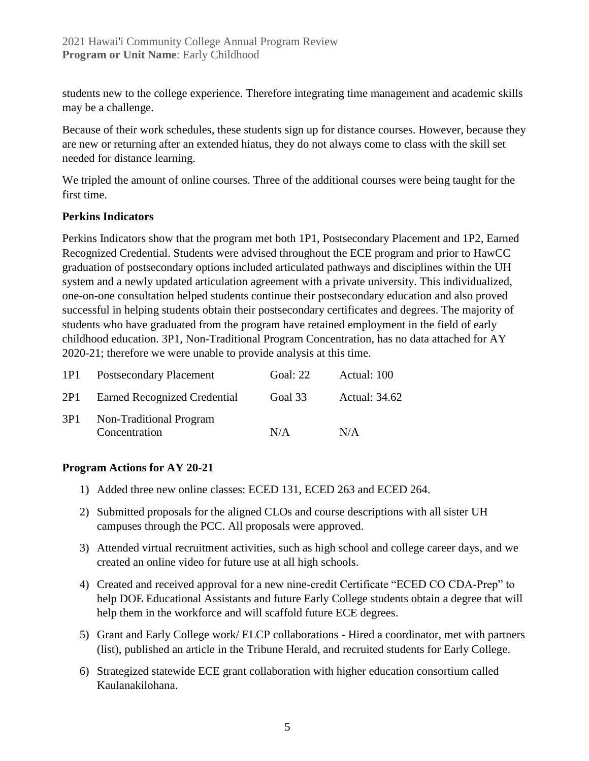students new to the college experience. Therefore integrating time management and academic skills may be a challenge.

Because of their work schedules, these students sign up for distance courses. However, because they are new or returning after an extended hiatus, they do not always come to class with the skill set needed for distance learning.

We tripled the amount of online courses. Three of the additional courses were being taught for the first time.

#### **Perkins Indicators**

Perkins Indicators show that the program met both 1P1, Postsecondary Placement and 1P2, Earned Recognized Credential. Students were advised throughout the ECE program and prior to HawCC graduation of postsecondary options included articulated pathways and disciplines within the UH system and a newly updated articulation agreement with a private university. This individualized, one-on-one consultation helped students continue their postsecondary education and also proved successful in helping students obtain their postsecondary certificates and degrees. The majority of students who have graduated from the program have retained employment in the field of early childhood education. 3P1, Non-Traditional Program Concentration, has no data attached for AY 2020-21; therefore we were unable to provide analysis at this time.

| 1P1 | <b>Postsecondary Placement</b>           | Goal: 22 | Actual: 100          |
|-----|------------------------------------------|----------|----------------------|
| 2P1 | Earned Recognized Credential             | Goal 33  | <b>Actual: 34.62</b> |
| 3P1 | Non-Traditional Program<br>Concentration | N/A      | N/A                  |

#### **Program Actions for AY 20-21**

- 1) Added three new online classes: ECED 131, ECED 263 and ECED 264.
- 2) Submitted proposals for the aligned CLOs and course descriptions with all sister UH campuses through the PCC. All proposals were approved.
- 3) Attended virtual recruitment activities, such as high school and college career days, and we created an online video for future use at all high schools.
- 4) Created and received approval for a new nine-credit Certificate "ECED CO CDA-Prep" to help DOE Educational Assistants and future Early College students obtain a degree that will help them in the workforce and will scaffold future ECE degrees.
- 5) Grant and Early College work/ ELCP collaborations Hired a coordinator, met with partners (list), published an article in the Tribune Herald, and recruited students for Early College.
- 6) Strategized statewide ECE grant collaboration with higher education consortium called Kaulanakilohana.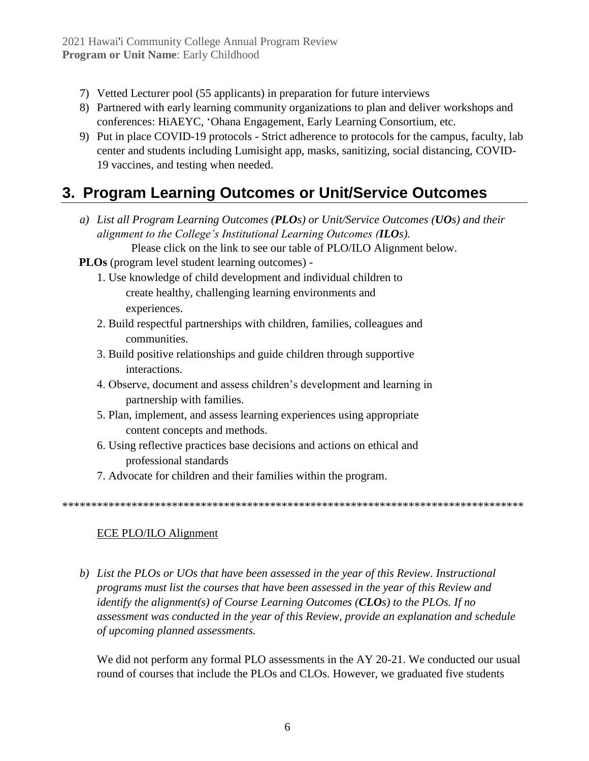- 7) Vetted Lecturer pool (55 applicants) in preparation for future interviews
- 8) Partnered with early learning community organizations to plan and deliver workshops and conferences: HiAEYC, ʻOhana Engagement, Early Learning Consortium, etc.
- 9) Put in place COVID-19 protocols Strict adherence to protocols for the campus, faculty, lab center and students including Lumisight app, masks, sanitizing, social distancing, COVID-19 vaccines, and testing when needed.

### **3. Program Learning Outcomes or Unit/Service Outcomes**

- *a) List all Program Learning Outcomes (PLOs) or Unit/Service Outcomes (UOs) and their alignment to the College's Institutional Learning Outcomes (ILOs).* Please click on the link to see our table of PLO/ILO Alignment below.
- **PLOs** (program level student learning outcomes)
	- 1. Use knowledge of child development and individual children to create healthy, challenging learning environments and experiences.
	- 2. Build respectful partnerships with children, families, colleagues and communities.
	- 3. Build positive relationships and guide children through supportive interactions.
	- 4. Observe, document and assess children's development and learning in partnership with families.
	- 5. Plan, implement, and assess learning experiences using appropriate content concepts and methods.
	- 6. Using reflective practices base decisions and actions on ethical and professional standards
	- 7. Advocate for children and their families within the program.

\*\*\*\*\*\*\*\*\*\*\*\*\*\*\*\*\*\*\*\*\*\*\*\*\*\*\*\*\*\*\*\*\*\*\*\*\*\*\*\*\*\*\*\*\*\*\*\*\*\*\*\*\*\*\*\*\*\*\*\*\*\*\*\*\*\*\*\*\*\*\*\*\*\*\*\*\*\*\*\*

#### [ECE PLO/ILO Alignment](https://docs.google.com/document/d/1wr7JKRP2z80zaNhuHeYu6AD50wYqAB5ARI6FwpZaMhQ/edit)

*b) List the PLOs or UOs that have been assessed in the year of this Review. Instructional programs must list the courses that have been assessed in the year of this Review and identify the alignment(s) of Course Learning Outcomes (CLOs) to the PLOs. If no assessment was conducted in the year of this Review, provide an explanation and schedule of upcoming planned assessments.*

We did not perform any formal PLO assessments in the AY 20-21. We conducted our usual round of courses that include the PLOs and CLOs. However, we graduated five students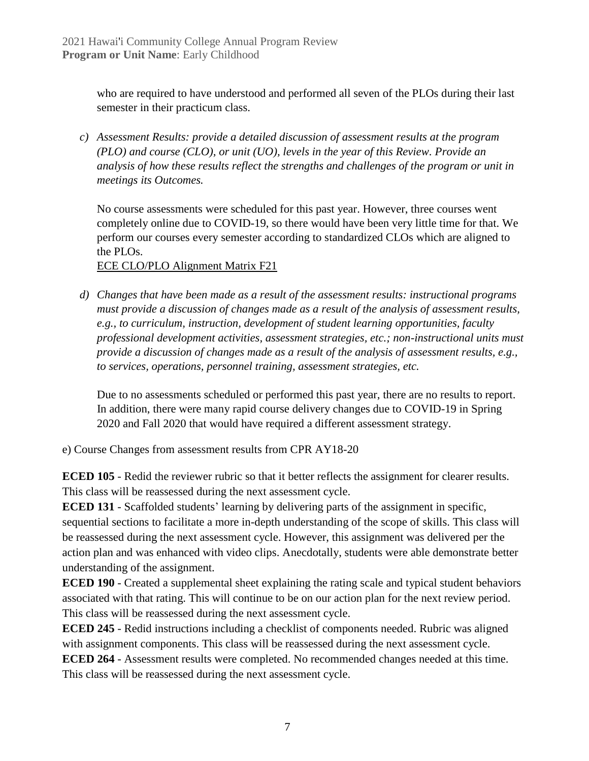who are required to have understood and performed all seven of the PLOs during their last semester in their practicum class.

*c) Assessment Results: provide a detailed discussion of assessment results at the program (PLO) and course (CLO), or unit (UO), levels in the year of this Review. Provide an analysis of how these results reflect the strengths and challenges of the program or unit in meetings its Outcomes.*

No course assessments were scheduled for this past year. However, three courses went completely online due to COVID-19, so there would have been very little time for that. We perform our courses every semester according to standardized CLOs which are aligned to the PLOs.

[ECE CLO/PLO Alignment Matrix F21](https://docs.google.com/document/d/1ypFwMaSeM310jJkycCNb4J4gEhXA8BU5oSpYO_5rgT0/edit)

*d) Changes that have been made as a result of the assessment results: instructional programs must provide a discussion of changes made as a result of the analysis of assessment results, e.g., to curriculum, instruction, development of student learning opportunities, faculty professional development activities, assessment strategies, etc.; non-instructional units must provide a discussion of changes made as a result of the analysis of assessment results, e.g., to services, operations, personnel training, assessment strategies, etc.*

Due to no assessments scheduled or performed this past year, there are no results to report. In addition, there were many rapid course delivery changes due to COVID-19 in Spring 2020 and Fall 2020 that would have required a different assessment strategy.

e) Course Changes from assessment results from CPR AY18-20

**ECED 105** - Redid the reviewer rubric so that it better reflects the assignment for clearer results. This class will be reassessed during the next assessment cycle.

**ECED 131** - Scaffolded students' learning by delivering parts of the assignment in specific, sequential sections to facilitate a more in-depth understanding of the scope of skills. This class will be reassessed during the next assessment cycle. However, this assignment was delivered per the action plan and was enhanced with video clips. Anecdotally, students were able demonstrate better understanding of the assignment.

**ECED 190** - Created a supplemental sheet explaining the rating scale and typical student behaviors associated with that rating. This will continue to be on our action plan for the next review period. This class will be reassessed during the next assessment cycle.

**ECED 245** - Redid instructions including a checklist of components needed. Rubric was aligned with assignment components. This class will be reassessed during the next assessment cycle.

**ECED 264** - Assessment results were completed. No recommended changes needed at this time. This class will be reassessed during the next assessment cycle.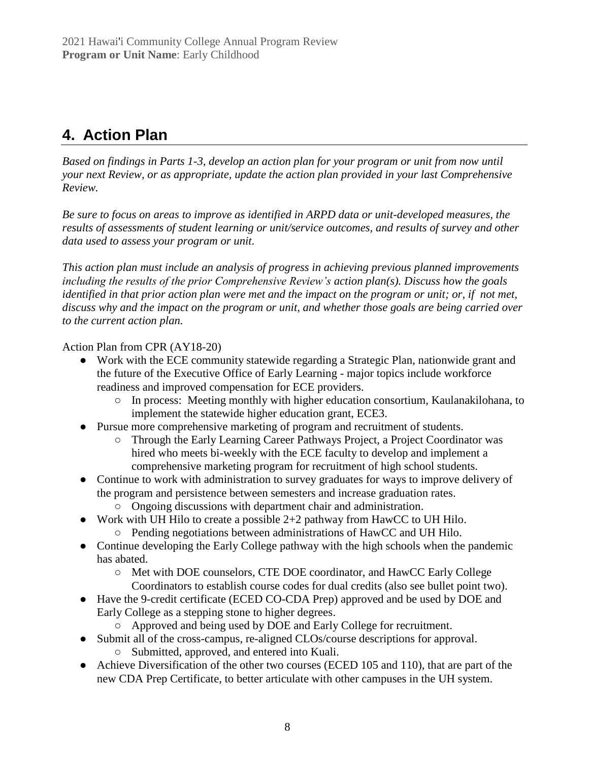### **4. Action Plan**

*Based on findings in Parts 1-3, develop an action plan for your program or unit from now until your next Review, or as appropriate, update the action plan provided in your last Comprehensive Review.*

*Be sure to focus on areas to improve as identified in ARPD data or unit-developed measures, the results of assessments of student learning or unit/service outcomes, and results of survey and other data used to assess your program or unit.* 

*This action plan must include an analysis of progress in achieving previous planned improvements including the results of the prior Comprehensive Review's action plan(s). Discuss how the goals identified in that prior action plan were met and the impact on the program or unit; or, if not met, discuss why and the impact on the program or unit, and whether those goals are being carried over to the current action plan.*

Action Plan from CPR (AY18-20)

- Work with the ECE community statewide regarding a Strategic Plan, nationwide grant and the future of the Executive Office of Early Learning - major topics include workforce readiness and improved compensation for ECE providers.
	- In process: Meeting monthly with higher education consortium, Kaulanakilohana, to implement the statewide higher education grant, ECE3.
- Pursue more comprehensive marketing of program and recruitment of students.
	- Through the Early Learning Career Pathways Project, a Project Coordinator was hired who meets bi-weekly with the ECE faculty to develop and implement a comprehensive marketing program for recruitment of high school students.
- Continue to work with administration to survey graduates for ways to improve delivery of the program and persistence between semesters and increase graduation rates.
	- Ongoing discussions with department chair and administration.
- Work with UH Hilo to create a possible 2+2 pathway from HawCC to UH Hilo.
	- Pending negotiations between administrations of HawCC and UH Hilo.
- Continue developing the Early College pathway with the high schools when the pandemic has abated.
	- Met with DOE counselors, CTE DOE coordinator, and HawCC Early College Coordinators to establish course codes for dual credits (also see bullet point two).
- Have the 9-credit certificate (ECED CO-CDA Prep) approved and be used by DOE and Early College as a stepping stone to higher degrees.
	- Approved and being used by DOE and Early College for recruitment.
- Submit all of the cross-campus, re-aligned CLOs/course descriptions for approval.
	- Submitted, approved, and entered into Kuali.
- Achieve Diversification of the other two courses (ECED 105 and 110), that are part of the new CDA Prep Certificate, to better articulate with other campuses in the UH system.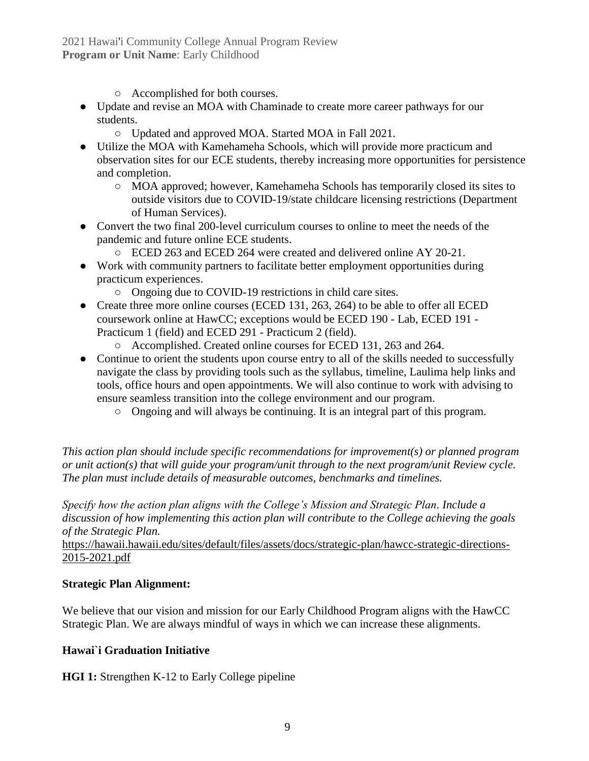#### 2021 Hawai'i Community College Annual Program Review **Program or Unit Name**: Early Childhood

- Accomplished for both courses.
- Update and revise an MOA with Chaminade to create more career pathways for our students.
	- Updated and approved MOA. Started MOA in Fall 2021.
- Utilize the MOA with Kamehameha Schools, which will provide more practicum and observation sites for our ECE students, thereby increasing more opportunities for persistence and completion.
	- MOA approved; however, Kamehameha Schools has temporarily closed its sites to outside visitors due to COVID-19/state childcare licensing restrictions (Department of Human Services).
- Convert the two final 200-level curriculum courses to online to meet the needs of the pandemic and future online ECE students.
	- ECED 263 and ECED 264 were created and delivered online AY 20-21.
- Work with community partners to facilitate better employment opportunities during practicum experiences.
	- Ongoing due to COVID-19 restrictions in child care sites.
- Create three more online courses (ECED 131, 263, 264) to be able to offer all ECED coursework online at HawCC; exceptions would be ECED 190 - Lab, ECED 191 - Practicum 1 (field) and ECED 291 - Practicum 2 (field).
	- Accomplished. Created online courses for ECED 131, 263 and 264.
- Continue to orient the students upon course entry to all of the skills needed to successfully navigate the class by providing tools such as the syllabus, timeline, Laulima help links and tools, office hours and open appointments. We will also continue to work with advising to ensure seamless transition into the college environment and our program.
	- Ongoing and will always be continuing. It is an integral part of this program.

*This action plan should include specific recommendations for improvement(s) or planned program or unit action(s) that will guide your program/unit through to the next program/unit Review cycle. The plan must include details of measurable outcomes, benchmarks and timelines.* 

*Specify how the action plan aligns with the College's Mission and Strategic Plan. Include a discussion of how implementing this action plan will contribute to the College achieving the goals of the Strategic Plan.* 

[https://hawaii.hawaii.edu/sites/default/files/assets/docs/strategic-plan/hawcc-strategic-directions-](https://hawaii.hawaii.edu/sites/default/files/assets/docs/strategic-plan/hawcc-strategic-directions-2015-2021.pdf)[2015-2021.pdf](https://hawaii.hawaii.edu/sites/default/files/assets/docs/strategic-plan/hawcc-strategic-directions-2015-2021.pdf)

#### **Strategic Plan Alignment:**

We believe that our vision and mission for our Early Childhood Program aligns with the HawCC Strategic Plan. We are always mindful of ways in which we can increase these alignments.

#### **Hawai`i Graduation Initiative**

**HGI 1:** Strengthen K-12 to Early College pipeline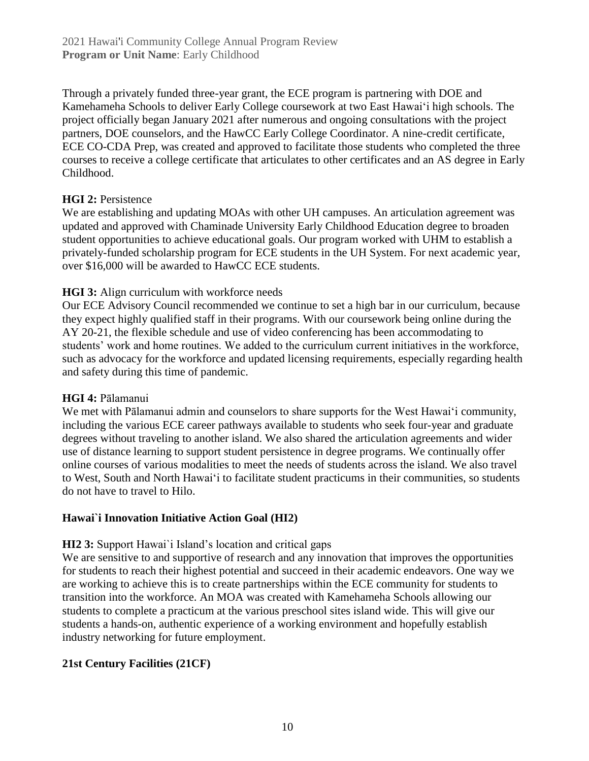Through a privately funded three-year grant, the ECE program is partnering with DOE and Kamehameha Schools to deliver Early College coursework at two East Hawaiʻi high schools. The project officially began January 2021 after numerous and ongoing consultations with the project partners, DOE counselors, and the HawCC Early College Coordinator. A nine-credit certificate, ECE CO-CDA Prep, was created and approved to facilitate those students who completed the three courses to receive a college certificate that articulates to other certificates and an AS degree in Early Childhood.

#### **HGI 2: Persistence**

We are establishing and updating MOAs with other UH campuses. An articulation agreement was updated and approved with Chaminade University Early Childhood Education degree to broaden student opportunities to achieve educational goals. Our program worked with UHM to establish a privately-funded scholarship program for ECE students in the UH System. For next academic year, over \$16,000 will be awarded to HawCC ECE students.

#### **HGI 3:** Align curriculum with workforce needs

Our ECE Advisory Council recommended we continue to set a high bar in our curriculum, because they expect highly qualified staff in their programs. With our coursework being online during the AY 20-21, the flexible schedule and use of video conferencing has been accommodating to students' work and home routines. We added to the curriculum current initiatives in the workforce, such as advocacy for the workforce and updated licensing requirements, especially regarding health and safety during this time of pandemic.

#### **HGI 4:** Pālamanui

We met with Pālamanui admin and counselors to share supports for the West Hawaiʻi community, including the various ECE career pathways available to students who seek four-year and graduate degrees without traveling to another island. We also shared the articulation agreements and wider use of distance learning to support student persistence in degree programs. We continually offer online courses of various modalities to meet the needs of students across the island. We also travel to West, South and North Hawaiʻi to facilitate student practicums in their communities, so students do not have to travel to Hilo.

#### **Hawai`i Innovation Initiative Action Goal (HI2)**

#### **HI2 3:** Support Hawai`i Island's location and critical gaps

We are sensitive to and supportive of research and any innovation that improves the opportunities for students to reach their highest potential and succeed in their academic endeavors. One way we are working to achieve this is to create partnerships within the ECE community for students to transition into the workforce. An MOA was created with Kamehameha Schools allowing our students to complete a practicum at the various preschool sites island wide. This will give our students a hands-on, authentic experience of a working environment and hopefully establish industry networking for future employment.

#### **21st Century Facilities (21CF)**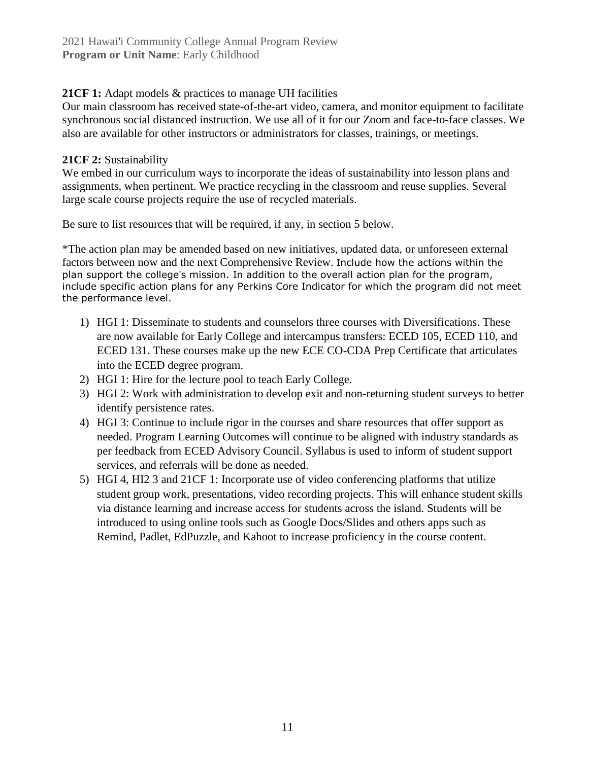#### **21CF 1:** Adapt models & practices to manage UH facilities

Our main classroom has received state-of-the-art video, camera, and monitor equipment to facilitate synchronous social distanced instruction. We use all of it for our Zoom and face-to-face classes. We also are available for other instructors or administrators for classes, trainings, or meetings.

#### **21CF 2:** Sustainability

We embed in our curriculum ways to incorporate the ideas of sustainability into lesson plans and assignments, when pertinent. We practice recycling in the classroom and reuse supplies. Several large scale course projects require the use of recycled materials.

Be sure to list resources that will be required, if any, in section 5 below.

\*The action plan may be amended based on new initiatives, updated data, or unforeseen external factors between now and the next Comprehensive Review. Include how the actions within the plan support the college's mission. In addition to the overall action plan for the program, include specific action plans for any Perkins Core Indicator for which the program did not meet the performance level.

- 1) HGI 1: Disseminate to students and counselors three courses with Diversifications. These are now available for Early College and intercampus transfers: ECED 105, ECED 110, and ECED 131. These courses make up the new ECE CO-CDA Prep Certificate that articulates into the ECED degree program.
- 2) HGI 1: Hire for the lecture pool to teach Early College.
- 3) HGI 2: Work with administration to develop exit and non-returning student surveys to better identify persistence rates.
- 4) HGI 3: Continue to include rigor in the courses and share resources that offer support as needed. Program Learning Outcomes will continue to be aligned with industry standards as per feedback from ECED Advisory Council. Syllabus is used to inform of student support services, and referrals will be done as needed.
- 5) HGI 4, HI2 3 and 21CF 1: Incorporate use of video conferencing platforms that utilize student group work, presentations, video recording projects. This will enhance student skills via distance learning and increase access for students across the island. Students will be introduced to using online tools such as Google Docs/Slides and others apps such as Remind, Padlet, EdPuzzle, and Kahoot to increase proficiency in the course content.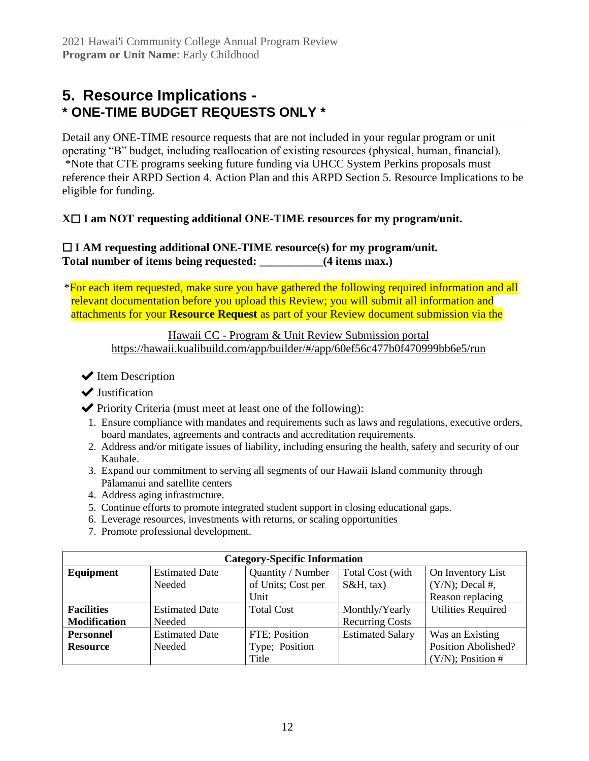### **5. Resource Implications - \* ONE-TIME BUDGET REQUESTS ONLY \***

Detail any ONE-TIME resource requests that are not included in your regular program or unit operating "B" budget, including reallocation of existing resources (physical, human, financial). \*Note that CTE programs seeking future funding via UHCC System Perkins proposals must reference their ARPD Section 4. Action Plan and this ARPD Section 5. Resource Implications to be eligible for funding.

#### **X**☐ **I am NOT requesting additional ONE-TIME resources for my program/unit.**

#### ☐ **I AM requesting additional ONE-TIME resource(s) for my program/unit. Total number of items being requested: \_\_\_\_\_\_\_\_\_\_\_(4 items max.)**

\*For each item requested, make sure you have gathered the following required information and all relevant documentation before you upload this Review; you will submit all information and attachments for your **Resource Request** as part of your Review document submission via the

Hawaii CC - [Program & Unit Review Submission portal](https://hawaii.kualibuild.com/app/builder/#/app/60ef56c477b0f470999bb6e5/run) <https://hawaii.kualibuild.com/app/builder/#/app/60ef56c477b0f470999bb6e5/run>

 $\blacktriangleright$  Item Description

**◆** Justification

- $\blacktriangleright$  Priority Criteria (must meet at least one of the following):
- 1. Ensure compliance with mandates and requirements such as laws and regulations, executive orders, board mandates, agreements and contracts and accreditation requirements.
- 2. Address and/or mitigate issues of liability, including ensuring the health, safety and security of our Kauhale.
- 3. Expand our commitment to serving all segments of our Hawaii Island community through Pālamanui and satellite centers
- 4. Address aging infrastructure.
- 5. Continue efforts to promote integrated student support in closing educational gaps.
- 6. Leverage resources, investments with returns, or scaling opportunities
- 7. Promote professional development.

| <b>Category-Specific Information</b> |                       |                    |                         |                           |  |  |  |
|--------------------------------------|-----------------------|--------------------|-------------------------|---------------------------|--|--|--|
| Equipment                            | <b>Estimated Date</b> | Quantity / Number  | Total Cost (with        | On Inventory List         |  |  |  |
|                                      | Needed                | of Units; Cost per | $S\&H$ , tax)           | $(Y/N)$ ; Decal #,        |  |  |  |
|                                      |                       | Unit               |                         | Reason replacing          |  |  |  |
| <b>Facilities</b>                    | <b>Estimated Date</b> | <b>Total Cost</b>  | Monthly/Yearly          | <b>Utilities Required</b> |  |  |  |
| <b>Modification</b>                  | Needed                |                    | <b>Recurring Costs</b>  |                           |  |  |  |
| <b>Personnel</b>                     | <b>Estimated Date</b> | FTE; Position      | <b>Estimated Salary</b> | Was an Existing           |  |  |  |
| <b>Resource</b>                      | Needed                | Type; Position     |                         | Position Abolished?       |  |  |  |
|                                      |                       | Title              |                         | $(Y/N)$ ; Position #      |  |  |  |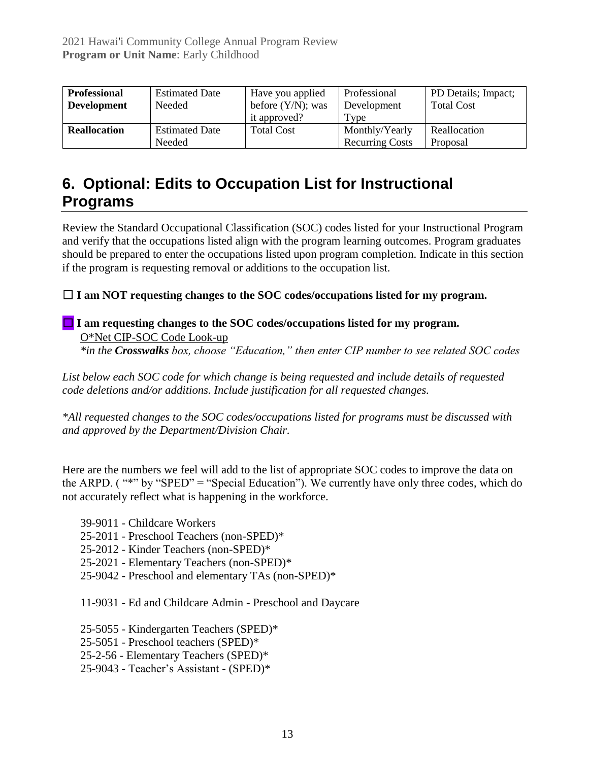| <b>Professional</b> | <b>Estimated Date</b> | Have you applied     | Professional           | PD Details; Impact; |
|---------------------|-----------------------|----------------------|------------------------|---------------------|
| <b>Development</b>  | Needed                | before $(Y/N)$ ; was | Development            | <b>Total Cost</b>   |
|                     |                       | it approved?         | Type                   |                     |
| <b>Reallocation</b> | <b>Estimated Date</b> | <b>Total Cost</b>    | Monthly/Yearly         | Reallocation        |
|                     | Needed                |                      | <b>Recurring Costs</b> | Proposal            |

### **6. Optional: Edits to Occupation List for Instructional Programs**

Review the Standard Occupational Classification (SOC) codes listed for your Instructional Program and verify that the occupations listed align with the program learning outcomes. Program graduates should be prepared to enter the occupations listed upon program completion. Indicate in this section if the program is requesting removal or additions to the occupation list.

☐ **I am NOT requesting changes to the SOC codes/occupations listed for my program.**

#### **□ I am requesting changes to the SOC codes/occupations listed for my program.** [O\\*Net CIP-SOC Code Look-up](http://www.onetonline.org/)

*\*in the Crosswalks box, choose "Education," then enter CIP number to see related SOC codes*

*List below each SOC code for which change is being requested and include details of requested code deletions and/or additions. Include justification for all requested changes.* 

*\*All requested changes to the SOC codes/occupations listed for programs must be discussed with and approved by the Department/Division Chair.*

Here are the numbers we feel will add to the list of appropriate SOC codes to improve the data on the ARPD. ( "\*" by "SPED" = "Special Education"). We currently have only three codes, which do not accurately reflect what is happening in the workforce.

- 39-9011 Childcare Workers
- 25-2011 Preschool Teachers (non-SPED)\*
- 25-2012 Kinder Teachers (non-SPED)\*
- 25-2021 Elementary Teachers (non-SPED)\*
- 25-9042 Preschool and elementary TAs (non-SPED)\*

11-9031 - Ed and Childcare Admin - Preschool and Daycare

- 25-5055 Kindergarten Teachers (SPED)\*
- 25-5051 Preschool teachers (SPED)\*
- 25-2-56 Elementary Teachers (SPED)\*
- 25-9043 Teacher's Assistant (SPED)\*